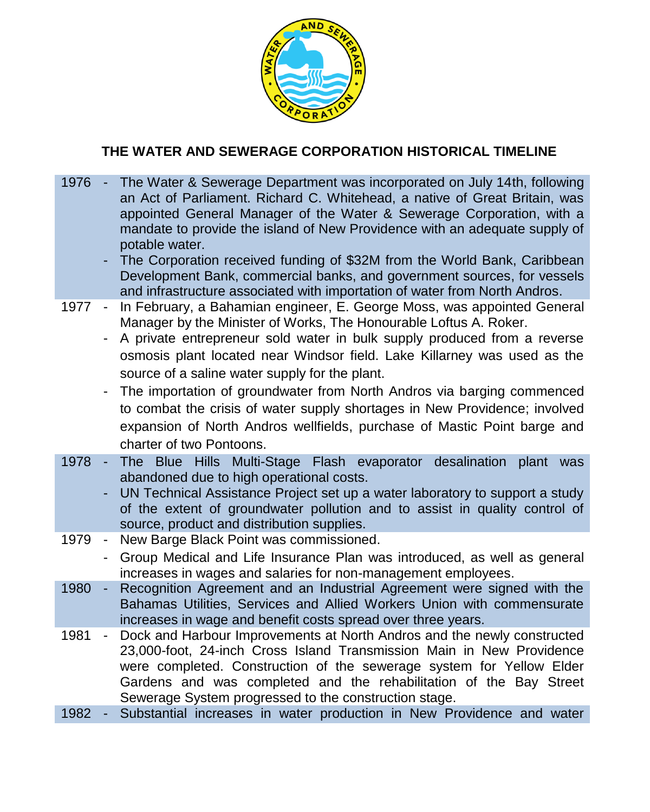

## **THE WATER AND SEWERAGE CORPORATION HISTORICAL TIMELINE**

- 1976 The Water & Sewerage Department was incorporated on July 14th, following an Act of Parliament. Richard C. Whitehead, a native of Great Britain, was appointed General Manager of the Water & Sewerage Corporation, with a mandate to provide the island of New Providence with an adequate supply of potable water.
	- The Corporation received funding of \$32M from the World Bank, Caribbean Development Bank, commercial banks, and government sources, for vessels and infrastructure associated with importation of water from North Andros.
- 1977 In February, a Bahamian engineer, E. George Moss, was appointed General Manager by the Minister of Works, The Honourable Loftus A. Roker.
	- A private entrepreneur sold water in bulk supply produced from a reverse osmosis plant located near Windsor field. Lake Killarney was used as the source of a saline water supply for the plant.
	- The importation of groundwater from North Andros via barging commenced to combat the crisis of water supply shortages in New Providence; involved expansion of North Andros wellfields, purchase of Mastic Point barge and charter of two Pontoons.
- 1978 The Blue Hills Multi-Stage Flash evaporator desalination plant was abandoned due to high operational costs.
	- UN Technical Assistance Project set up a water laboratory to support a study of the extent of groundwater pollution and to assist in quality control of source, product and distribution supplies.
- 1979 New Barge Black Point was commissioned.
	- Group Medical and Life Insurance Plan was introduced, as well as general increases in wages and salaries for non-management employees.
- 1980 Recognition Agreement and an Industrial Agreement were signed with the Bahamas Utilities, Services and Allied Workers Union with commensurate increases in wage and benefit costs spread over three years.
- 1981 Dock and Harbour Improvements at North Andros and the newly constructed 23,000-foot, 24-inch Cross Island Transmission Main in New Providence were completed. Construction of the sewerage system for Yellow Elder Gardens and was completed and the rehabilitation of the Bay Street Sewerage System progressed to the construction stage.
- 1982 Substantial increases in water production in New Providence and water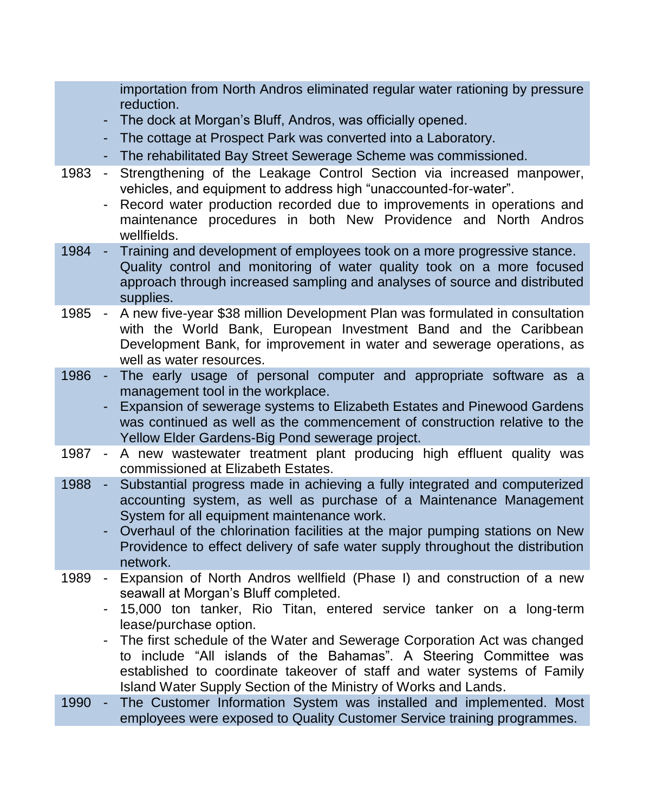importation from North Andros eliminated regular water rationing by pressure reduction.

- The dock at Morgan's Bluff, Andros, was officially opened.
- The cottage at Prospect Park was converted into a Laboratory.
- The rehabilitated Bay Street Sewerage Scheme was commissioned.
- 1983 Strengthening of the Leakage Control Section via increased manpower, vehicles, and equipment to address high "unaccounted-for-water".
	- Record water production recorded due to improvements in operations and maintenance procedures in both New Providence and North Andros wellfields.
- 1984 Training and development of employees took on a more progressive stance. Quality control and monitoring of water quality took on a more focused approach through increased sampling and analyses of source and distributed supplies.
- 1985 A new five-year \$38 million Development Plan was formulated in consultation with the World Bank, European Investment Band and the Caribbean Development Bank, for improvement in water and sewerage operations, as well as water resources.
- 1986 The early usage of personal computer and appropriate software as a management tool in the workplace.
	- Expansion of sewerage systems to Elizabeth Estates and Pinewood Gardens was continued as well as the commencement of construction relative to the Yellow Elder Gardens-Big Pond sewerage project.
- 1987 A new wastewater treatment plant producing high effluent quality was commissioned at Elizabeth Estates.
- 1988 Substantial progress made in achieving a fully integrated and computerized accounting system, as well as purchase of a Maintenance Management System for all equipment maintenance work.
	- Overhaul of the chlorination facilities at the major pumping stations on New Providence to effect delivery of safe water supply throughout the distribution network.
- 1989 Expansion of North Andros wellfield (Phase I) and construction of a new seawall at Morgan's Bluff completed.
	- 15,000 ton tanker, Rio Titan, entered service tanker on a long-term lease/purchase option.
	- The first schedule of the Water and Sewerage Corporation Act was changed to include "All islands of the Bahamas". A Steering Committee was established to coordinate takeover of staff and water systems of Family Island Water Supply Section of the Ministry of Works and Lands.
- 1990 The Customer Information System was installed and implemented. Most employees were exposed to Quality Customer Service training programmes.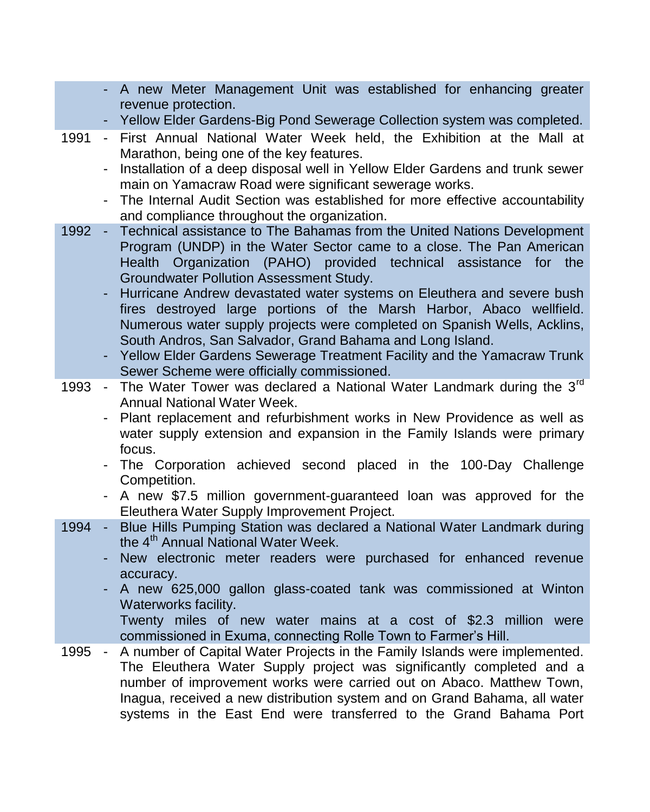- A new Meter Management Unit was established for enhancing greater revenue protection.
- Yellow Elder Gardens-Big Pond Sewerage Collection system was completed.
- 1991 First Annual National Water Week held, the Exhibition at the Mall at Marathon, being one of the key features.
	- Installation of a deep disposal well in Yellow Elder Gardens and trunk sewer main on Yamacraw Road were significant sewerage works.
	- The Internal Audit Section was established for more effective accountability and compliance throughout the organization.
- 1992 Technical assistance to The Bahamas from the United Nations Development Program (UNDP) in the Water Sector came to a close. The Pan American Health Organization (PAHO) provided technical assistance for the Groundwater Pollution Assessment Study.
	- Hurricane Andrew devastated water systems on Eleuthera and severe bush fires destroyed large portions of the Marsh Harbor, Abaco wellfield. Numerous water supply projects were completed on Spanish Wells, Acklins, South Andros, San Salvador, Grand Bahama and Long Island.
	- Yellow Elder Gardens Sewerage Treatment Facility and the Yamacraw Trunk Sewer Scheme were officially commissioned.
- 1993 The Water Tower was declared a National Water Landmark during the 3<sup>rd</sup> Annual National Water Week.
	- Plant replacement and refurbishment works in New Providence as well as water supply extension and expansion in the Family Islands were primary focus.
	- The Corporation achieved second placed in the 100-Day Challenge Competition.
	- A new \$7.5 million government-guaranteed loan was approved for the Eleuthera Water Supply Improvement Project.
- 1994 Blue Hills Pumping Station was declared a National Water Landmark during the 4<sup>th</sup> Annual National Water Week.
	- New electronic meter readers were purchased for enhanced revenue accuracy.
	- A new 625,000 gallon glass-coated tank was commissioned at Winton Waterworks facility.

Twenty miles of new water mains at a cost of \$2.3 million were commissioned in Exuma, connecting Rolle Town to Farmer's Hill.

1995 - A number of Capital Water Projects in the Family Islands were implemented. The Eleuthera Water Supply project was significantly completed and a number of improvement works were carried out on Abaco. Matthew Town, Inagua, received a new distribution system and on Grand Bahama, all water systems in the East End were transferred to the Grand Bahama Port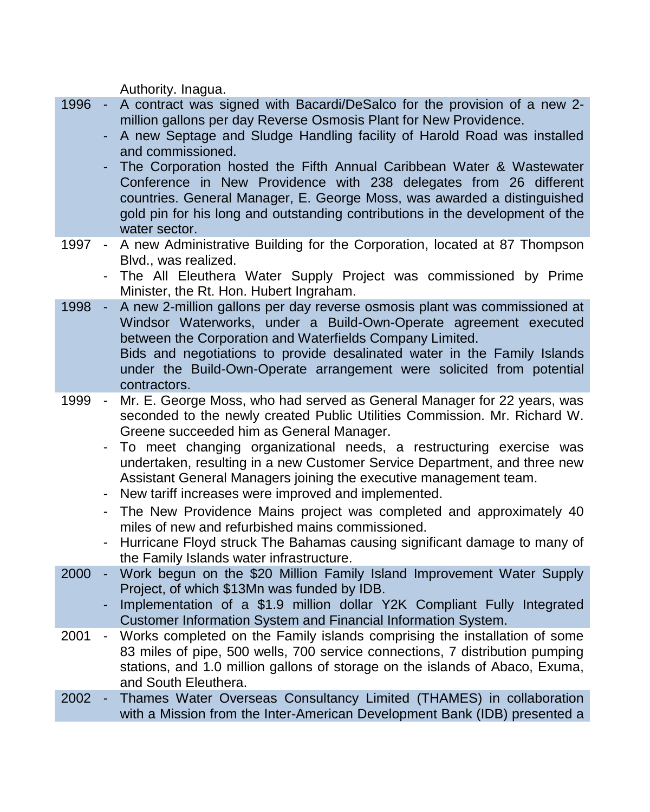Authority. Inagua.

- 1996 A contract was signed with Bacardi/DeSalco for the provision of a new 2 million gallons per day Reverse Osmosis Plant for New Providence.
	- A new Septage and Sludge Handling facility of Harold Road was installed and commissioned.
	- The Corporation hosted the Fifth Annual Caribbean Water & Wastewater Conference in New Providence with 238 delegates from 26 different countries. General Manager, E. George Moss, was awarded a distinguished gold pin for his long and outstanding contributions in the development of the water sector.
- 1997 A new Administrative Building for the Corporation, located at 87 Thompson Blvd., was realized.
	- The All Eleuthera Water Supply Project was commissioned by Prime Minister, the Rt. Hon. Hubert Ingraham.
- 1998 A new 2-million gallons per day reverse osmosis plant was commissioned at Windsor Waterworks, under a Build-Own-Operate agreement executed between the Corporation and Waterfields Company Limited. Bids and negotiations to provide desalinated water in the Family Islands under the Build-Own-Operate arrangement were solicited from potential contractors.
- 1999 Mr. E. George Moss, who had served as General Manager for 22 years, was seconded to the newly created Public Utilities Commission. Mr. Richard W. Greene succeeded him as General Manager.
	- To meet changing organizational needs, a restructuring exercise was undertaken, resulting in a new Customer Service Department, and three new Assistant General Managers joining the executive management team.
	- New tariff increases were improved and implemented.
	- The New Providence Mains project was completed and approximately 40 miles of new and refurbished mains commissioned.
	- Hurricane Floyd struck The Bahamas causing significant damage to many of the Family Islands water infrastructure.
- 2000 Work begun on the \$20 Million Family Island Improvement Water Supply Project, of which \$13Mn was funded by IDB.
	- Implementation of a \$1.9 million dollar Y2K Compliant Fully Integrated Customer Information System and Financial Information System.
- 2001 Works completed on the Family islands comprising the installation of some 83 miles of pipe, 500 wells, 700 service connections, 7 distribution pumping stations, and 1.0 million gallons of storage on the islands of Abaco, Exuma, and South Eleuthera.
- 2002 Thames Water Overseas Consultancy Limited (THAMES) in collaboration with a Mission from the Inter-American Development Bank (IDB) presented a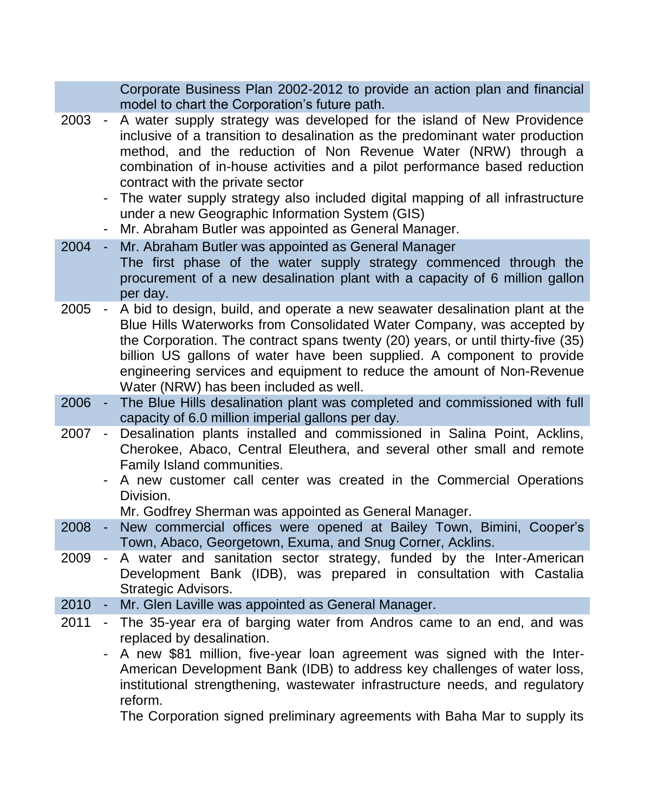Corporate Business Plan 2002-2012 to provide an action plan and financial model to chart the Corporation's future path.

- 2003 A water supply strategy was developed for the island of New Providence inclusive of a transition to desalination as the predominant water production method, and the reduction of Non Revenue Water (NRW) through a combination of in-house activities and a pilot performance based reduction contract with the private sector
	- The water supply strategy also included digital mapping of all infrastructure under a new Geographic Information System (GIS)
	- Mr. Abraham Butler was appointed as General Manager.
- 2004 Mr. Abraham Butler was appointed as General Manager The first phase of the water supply strategy commenced through the procurement of a new desalination plant with a capacity of 6 million gallon per day.
- 2005 A bid to design, build, and operate a new seawater desalination plant at the Blue Hills Waterworks from Consolidated Water Company, was accepted by the Corporation. The contract spans twenty (20) years, or until thirty-five (35) billion US gallons of water have been supplied. A component to provide engineering services and equipment to reduce the amount of Non-Revenue Water (NRW) has been included as well.
- 2006 The Blue Hills desalination plant was completed and commissioned with full capacity of 6.0 million imperial gallons per day.
- 2007 Desalination plants installed and commissioned in Salina Point, Acklins, Cherokee, Abaco, Central Eleuthera, and several other small and remote Family Island communities.
	- A new customer call center was created in the Commercial Operations Division.

Mr. Godfrey Sherman was appointed as General Manager.

- 2008 New commercial offices were opened at Bailey Town, Bimini, Cooper's Town, Abaco, Georgetown, Exuma, and Snug Corner, Acklins.
- 2009 A water and sanitation sector strategy, funded by the Inter-American Development Bank (IDB), was prepared in consultation with Castalia Strategic Advisors.
- 2010 Mr. Glen Laville was appointed as General Manager.
- 2011 The 35-year era of barging water from Andros came to an end, and was replaced by desalination.
	- A new \$81 million, five-year loan agreement was signed with the Inter-American Development Bank (IDB) to address key challenges of water loss, institutional strengthening, wastewater infrastructure needs, and regulatory reform.

The Corporation signed preliminary agreements with Baha Mar to supply its